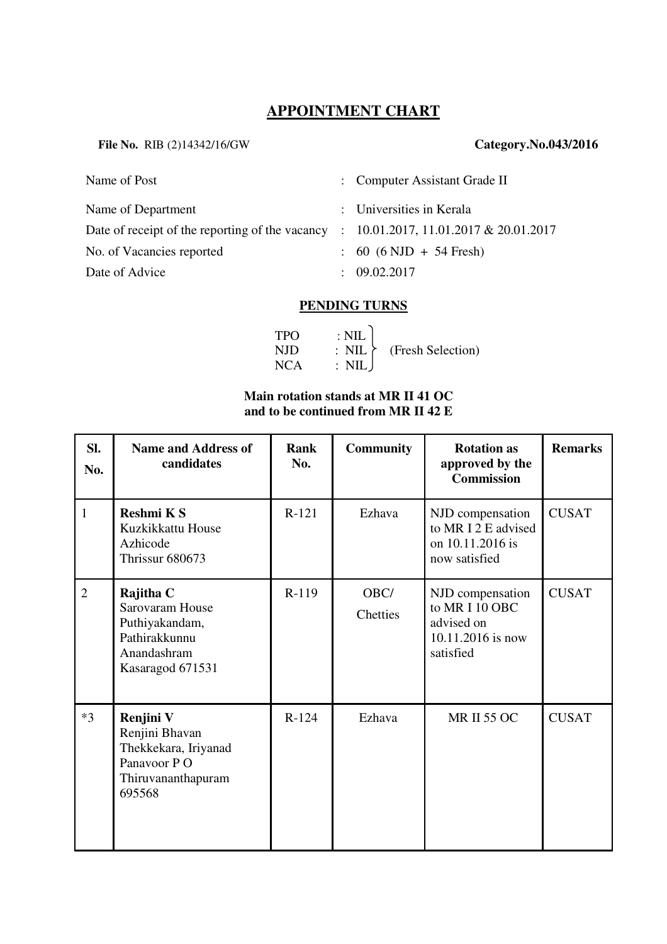# **APPOINTMENT CHART**

**File No.** RIB (2)14342/16/GW **Category.No.043/2016**

| Name of Post                                                                               | : Computer Assistant Grade II      |
|--------------------------------------------------------------------------------------------|------------------------------------|
| Name of Department                                                                         | : Universities in Kerala           |
| Date of receipt of the reporting of the vacancy : $10.01.2017$ , $11.01.2017$ & 20.01.2017 |                                    |
| No. of Vacancies reported                                                                  | $\therefore$ 60 (6 NJD + 54 Fresh) |
| Date of Advice                                                                             | $\therefore$ 09.02.2017            |

### **PENDING TURNS**

| <b>TPO</b> | $\therefore$ NIL |                             |
|------------|------------------|-----------------------------|
| NJD        |                  | : $NIL \t(Fresh Selection)$ |
| NCA        | : NIL J          |                             |

#### **Main rotation stands at MR II 41 OC and to be continued from MR II 42 E**

| SI.<br>No.     | <b>Name and Address of</b><br>candidates                                                           | Rank<br>No. | <b>Community</b>        | <b>Rotation as</b><br>approved by the<br><b>Commission</b>                         | <b>Remarks</b> |
|----------------|----------------------------------------------------------------------------------------------------|-------------|-------------------------|------------------------------------------------------------------------------------|----------------|
| $\mathbf{1}$   | Reshmi K S<br>Kuzkikkattu House<br>Azhicode<br>Thrissur 680673                                     | $R-121$     | Ezhava                  | NJD compensation<br>to MRI2E advised<br>on 10.11.2016 is<br>now satisfied          | <b>CUSAT</b>   |
| $\overline{2}$ | Rajitha C<br>Sarovaram House<br>Puthiyakandam,<br>Pathirakkunnu<br>Anandashram<br>Kasaragod 671531 | $R-119$     | OBC/<br><b>Chetties</b> | NJD compensation<br>to MR I 10 OBC<br>advised on<br>10.11.2016 is now<br>satisfied | <b>CUSAT</b>   |
| $*3$           | Renjini V<br>Renjini Bhavan<br>Thekkekara, Iriyanad<br>Panavoor PO<br>Thiruvananthapuram<br>695568 | $R-124$     | Ezhava                  | <b>MR II 55 OC</b>                                                                 | <b>CUSAT</b>   |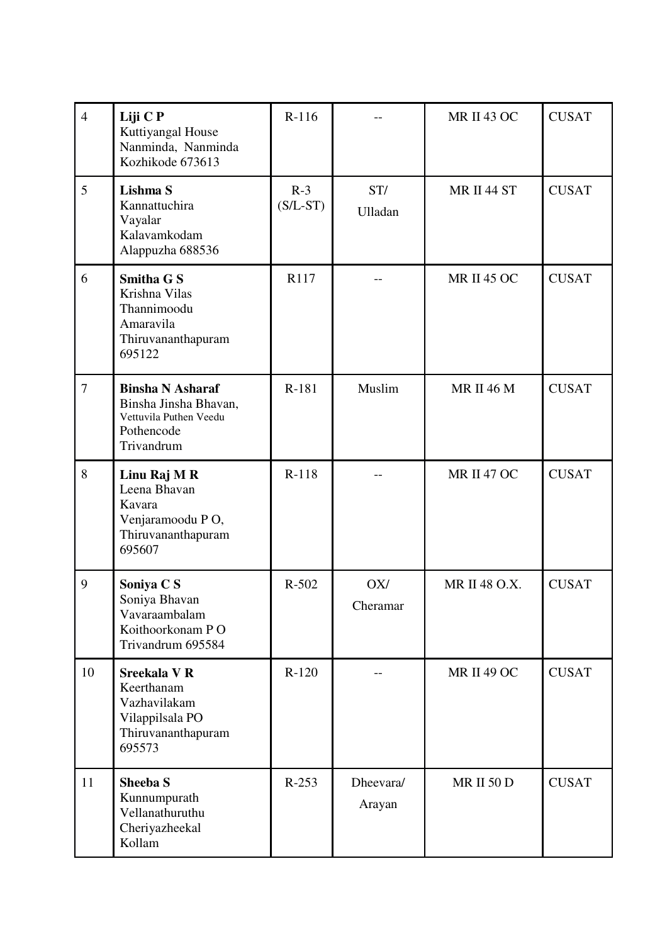| $\overline{4}$ | Liji C P<br>Kuttiyangal House<br>Nanminda, Nanminda<br>Kozhikode 673613                                | $R-116$             |                       | <b>MR II 43 OC</b> | <b>CUSAT</b> |
|----------------|--------------------------------------------------------------------------------------------------------|---------------------|-----------------------|--------------------|--------------|
| 5              | Lishma S<br>Kannattuchira<br>Vayalar<br>Kalavamkodam<br>Alappuzha 688536                               | $R-3$<br>$(S/L-ST)$ | ST/<br><b>Ulladan</b> | MR II 44 ST        | <b>CUSAT</b> |
| 6              | <b>Smitha G S</b><br>Krishna Vilas<br>Thannimoodu<br>Amaravila<br>Thiruvananthapuram<br>695122         | R117                |                       | <b>MR II 45 OC</b> | <b>CUSAT</b> |
| $\overline{7}$ | <b>Binsha N Asharaf</b><br>Binsha Jinsha Bhavan,<br>Vettuvila Puthen Veedu<br>Pothencode<br>Trivandrum | R-181               | Muslim                | <b>MR II 46 M</b>  | <b>CUSAT</b> |
| 8              | Linu Raj M R<br>Leena Bhavan<br>Kavara<br>Venjaramoodu PO,<br>Thiruvananthapuram<br>695607             | $R-118$             |                       | <b>MR II 47 OC</b> | <b>CUSAT</b> |
| 9              | Soniya C S<br>Soniya Bhavan<br>Vavaraambalam<br>Koithoorkonam PO<br>Trivandrum 695584                  | $R-502$             | OX/<br>Cheramar       | MR II 48 O.X.      | <b>CUSAT</b> |
| 10             | <b>Sreekala V R</b><br>Keerthanam<br>Vazhavilakam<br>Vilappilsala PO<br>Thiruvananthapuram<br>695573   | $R-120$             |                       | <b>MR II 49 OC</b> | <b>CUSAT</b> |
| 11             | <b>Sheeba S</b><br>Kunnumpurath<br>Vellanathuruthu<br>Cheriyazheekal<br>Kollam                         | $R-253$             | Dheevara/<br>Arayan   | <b>MR II 50 D</b>  | <b>CUSAT</b> |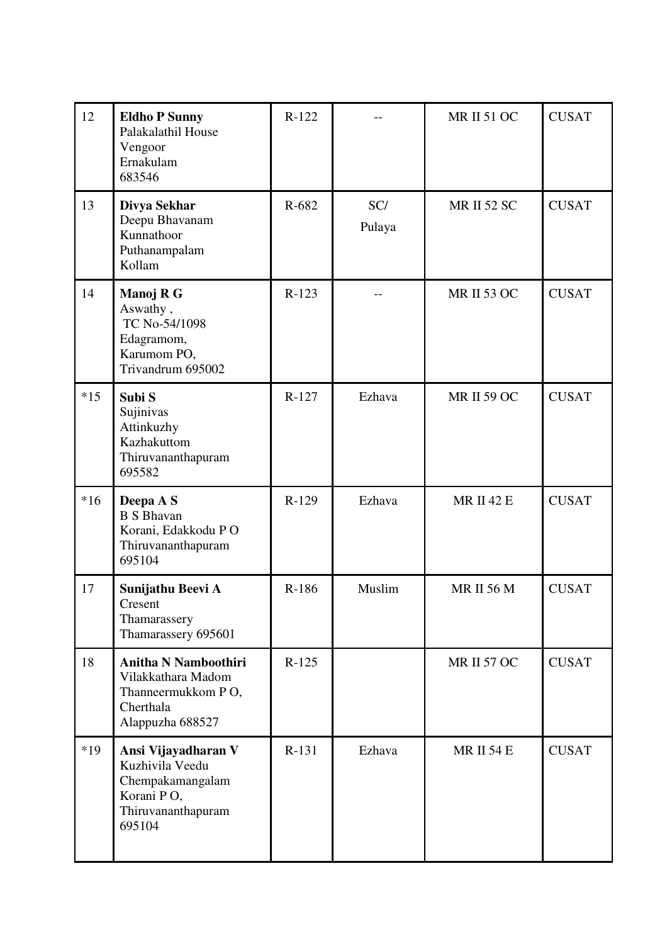| 12    | <b>Eldho P Sunny</b><br>Palakalathil House<br>Vengoor<br>Ernakulam<br>683546                             | $R-122$ |               | <b>MR II 51 OC</b> | <b>CUSAT</b> |
|-------|----------------------------------------------------------------------------------------------------------|---------|---------------|--------------------|--------------|
| 13    | Divya Sekhar<br>Deepu Bhavanam<br>Kunnathoor<br>Puthanampalam<br>Kollam                                  | R-682   | SC/<br>Pulaya | <b>MR II 52 SC</b> | <b>CUSAT</b> |
| 14    | Manoj R G<br>Aswathy,<br>TC No-54/1098<br>Edagramom,<br>Karumom PO,<br>Trivandrum 695002                 | $R-123$ |               | <b>MR II 53 OC</b> | <b>CUSAT</b> |
| $*15$ | Subi S<br>Sujinivas<br>Attinkuzhy<br>Kazhakuttom<br>Thiruvananthapuram<br>695582                         | $R-127$ | Ezhava        | <b>MR II 59 OC</b> | <b>CUSAT</b> |
| $*16$ | Deepa A S<br><b>B</b> S Bhavan<br>Korani, Edakkodu PO<br>Thiruvananthapuram<br>695104                    | $R-129$ | Ezhava        | <b>MR II 42 E</b>  | <b>CUSAT</b> |
| 17    | Sunijathu Beevi A<br>Cresent<br>Thamarassery<br>Thamarassery 695601                                      | R-186   | Muslim        | <b>MR II 56 M</b>  | <b>CUSAT</b> |
| 18    | <b>Anitha N Namboothiri</b><br>Vilakkathara Madom<br>Thanneermukkom PO,<br>Cherthala<br>Alappuzha 688527 | $R-125$ |               | <b>MR II 57 OC</b> | <b>CUSAT</b> |
| $*19$ | Ansi Vijayadharan V<br>Kuzhivila Veedu<br>Chempakamangalam<br>Korani PO,<br>Thiruvananthapuram<br>695104 | $R-131$ | Ezhava        | <b>MR II 54 E</b>  | <b>CUSAT</b> |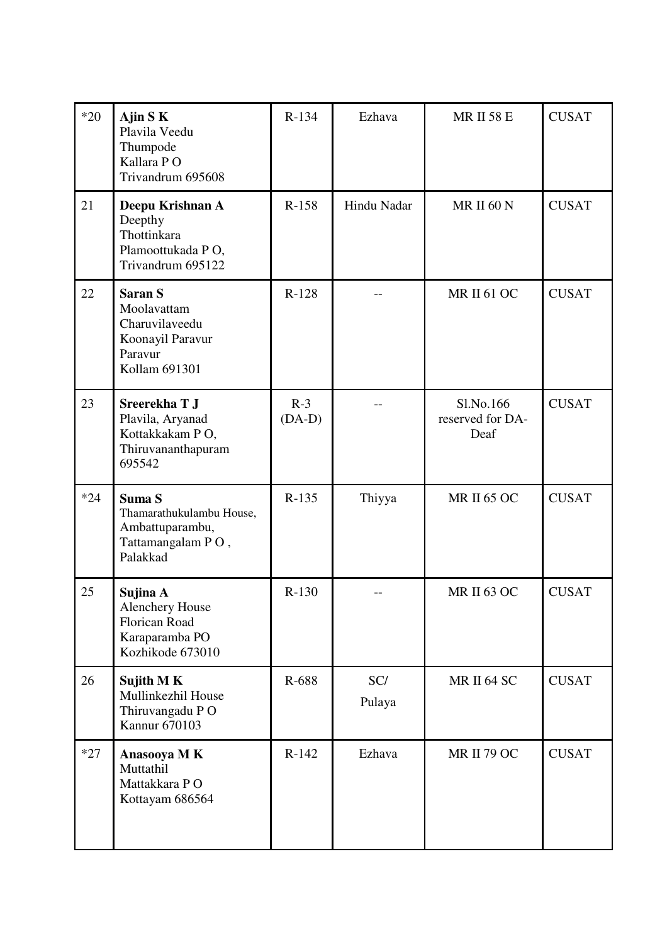| $*20$ | Ajin $S$ K<br>Plavila Veedu<br>Thumpode<br>Kallara PO<br>Trivandrum 695608                       | $R-134$           | Ezhava        | <b>MR II 58 E</b>                     | <b>CUSAT</b> |
|-------|--------------------------------------------------------------------------------------------------|-------------------|---------------|---------------------------------------|--------------|
| 21    | Deepu Krishnan A<br>Deepthy<br>Thottinkara<br>Plamoottukada PO,<br>Trivandrum 695122             | $R-158$           | Hindu Nadar   | <b>MR II 60 N</b>                     | <b>CUSAT</b> |
| 22    | <b>Saran S</b><br>Moolavattam<br>Charuvilaveedu<br>Koonayil Paravur<br>Paravur<br>Kollam 691301  | $R-128$           |               | <b>MR II 61 OC</b>                    | <b>CUSAT</b> |
| 23    | Sreerekha T J<br>Plavila, Aryanad<br>Kottakkakam PO,<br>Thiruvananthapuram<br>695542             | $R-3$<br>$(DA-D)$ |               | Sl.No.166<br>reserved for DA-<br>Deaf | <b>CUSAT</b> |
| $*24$ | Suma S<br>Thamarathukulambu House,<br>Ambattuparambu,<br>Tattamangalam PO,<br>Palakkad           | $R-135$           | Thiyya        | <b>MR II 65 OC</b>                    | <b>CUSAT</b> |
| 25    | Sujina A<br><b>Alenchery House</b><br><b>Florican Road</b><br>Karaparamba PO<br>Kozhikode 673010 | $R-130$           |               | <b>MR II 63 OC</b>                    | <b>CUSAT</b> |
| 26    | Sujith MK<br>Mullinkezhil House<br>Thiruvangadu PO<br>Kannur 670103                              | R-688             | SC/<br>Pulaya | MR II 64 SC                           | <b>CUSAT</b> |
| $*27$ | Anasooya MK<br>Muttathil<br>Mattakkara PO<br>Kottayam 686564                                     | $R-142$           | Ezhava        | <b>MR II 79 OC</b>                    | <b>CUSAT</b> |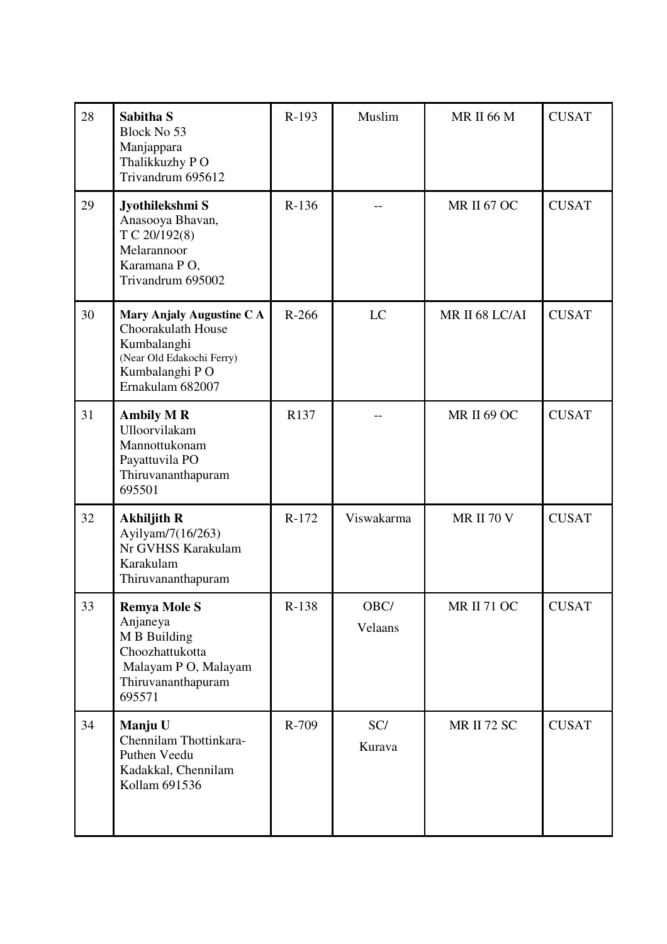| 28 | Sabitha <sub>S</sub><br>Block No 53<br>Manjappara<br>Thalikkuzhy PO<br>Trivandrum 695612                                          | R-193   | Muslim          | <b>MR II 66 M</b>  | <b>CUSAT</b> |
|----|-----------------------------------------------------------------------------------------------------------------------------------|---------|-----------------|--------------------|--------------|
| 29 | Jyothilekshmi S<br>Anasooya Bhavan,<br>T C 20/192(8)<br>Melarannoor<br>Karamana PO,<br>Trivandrum 695002                          | $R-136$ |                 | <b>MR II 67 OC</b> | <b>CUSAT</b> |
| 30 | Mary Anjaly Augustine C A<br>Choorakulath House<br>Kumbalanghi<br>(Near Old Edakochi Ferry)<br>Kumbalanghi PO<br>Ernakulam 682007 | $R-266$ | LC              | MR II 68 LC/AI     | <b>CUSAT</b> |
| 31 | <b>Ambily MR</b><br>Ulloorvilakam<br>Mannottukonam<br>Payattuvila PO<br>Thiruvananthapuram<br>695501                              | R137    |                 | <b>MR II 69 OC</b> | <b>CUSAT</b> |
| 32 | <b>Akhiljith R</b><br>Ayilyam/7(16/263)<br>Nr GVHSS Karakulam<br>Karakulam<br>Thiruvananthapuram                                  | $R-172$ | Viswakarma      | <b>MR II 70 V</b>  | <b>CUSAT</b> |
| 33 | <b>Remya Mole S</b><br>Anjaneya<br>M B Building<br>Choozhattukotta<br>Malayam P O, Malayam<br>Thiruvananthapuram<br>695571        | $R-138$ | OBC/<br>Velaans | MR II 71 OC        | <b>CUSAT</b> |
| 34 | Manju U<br>Chennilam Thottinkara-<br>Puthen Veedu<br>Kadakkal, Chennilam<br>Kollam 691536                                         | R-709   | SC/<br>Kurava   | <b>MR II 72 SC</b> | <b>CUSAT</b> |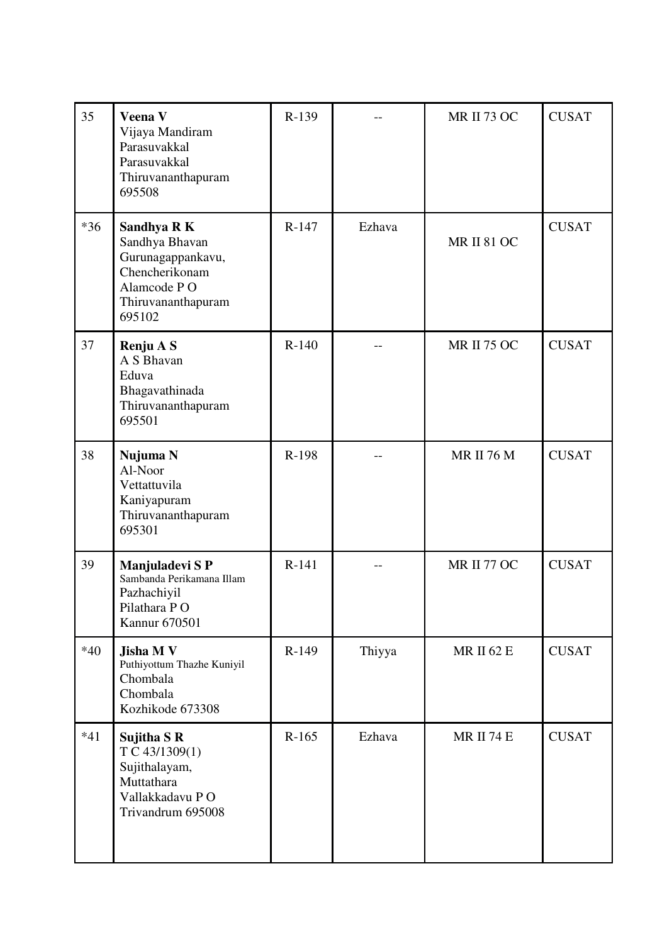| 35    | Veena V<br>Vijaya Mandiram<br>Parasuvakkal<br>Parasuvakkal<br>Thiruvananthapuram<br>695508                          | $R-139$ |        | <b>MR II 73 OC</b> | <b>CUSAT</b> |
|-------|---------------------------------------------------------------------------------------------------------------------|---------|--------|--------------------|--------------|
| $*36$ | Sandhya R K<br>Sandhya Bhavan<br>Gurunagappankavu,<br>Chencherikonam<br>Alamcode PO<br>Thiruvananthapuram<br>695102 | $R-147$ | Ezhava | <b>MR II 81 OC</b> | <b>CUSAT</b> |
| 37    | Renju A S<br>A S Bhavan<br>Eduva<br>Bhagavathinada<br>Thiruvananthapuram<br>695501                                  | $R-140$ |        | <b>MR II 75 OC</b> | <b>CUSAT</b> |
| 38    | Nujuma N<br>Al-Noor<br>Vettattuvila<br>Kaniyapuram<br>Thiruvananthapuram<br>695301                                  | R-198   |        | <b>MR II 76 M</b>  | <b>CUSAT</b> |
| 39    | Manjuladevi SP<br>Sambanda Perikamana Illam<br>Pazhachiyil<br>Pilathara PO<br>Kannur 670501                         | $R-141$ |        | MR II 77 OC        | <b>CUSAT</b> |
| $*40$ | Jisha M V<br>Puthiyottum Thazhe Kuniyil<br>Chombala<br>Chombala<br>Kozhikode 673308                                 | $R-149$ | Thiyya | <b>MR II 62 E</b>  | <b>CUSAT</b> |
| $*41$ | Sujitha S R<br>T C 43/1309(1)<br>Sujithalayam,<br>Muttathara<br>Vallakkadavu PO<br>Trivandrum 695008                | $R-165$ | Ezhava | <b>MR II 74 E</b>  | <b>CUSAT</b> |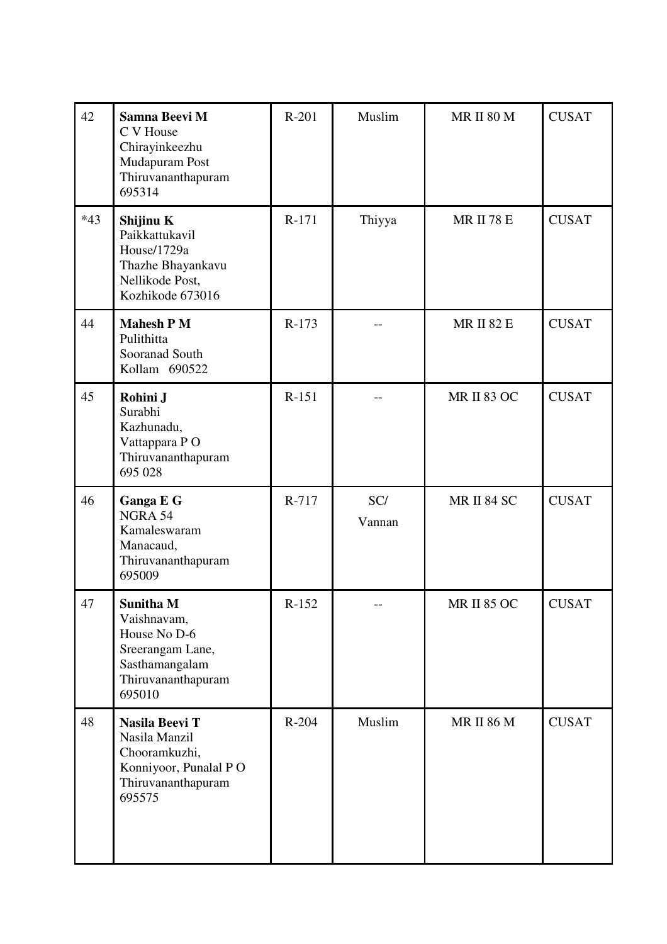| 42    | Samna Beevi M<br>C V House<br>Chirayinkeezhu<br>Mudapuram Post<br>Thiruvananthapuram<br>695314                        | $R-201$ | Muslim        | <b>MR II 80 M</b>  | <b>CUSAT</b> |
|-------|-----------------------------------------------------------------------------------------------------------------------|---------|---------------|--------------------|--------------|
| $*43$ | Shijinu K<br>Paikkattukavil<br>House/1729a<br>Thazhe Bhayankavu<br>Nellikode Post,<br>Kozhikode 673016                | $R-171$ | Thiyya        | <b>MR II 78 E</b>  | <b>CUSAT</b> |
| 44    | <b>Mahesh PM</b><br>Pulithitta<br>Sooranad South<br>Kollam 690522                                                     | $R-173$ |               | <b>MR II 82 E</b>  | <b>CUSAT</b> |
| 45    | Rohini J<br>Surabhi<br>Kazhunadu,<br>Vattappara PO<br>Thiruvananthapuram<br>695 028                                   | $R-151$ |               | <b>MR II 83 OC</b> | <b>CUSAT</b> |
| 46    | Ganga E G<br>NGRA 54<br>Kamaleswaram<br>Manacaud,<br>Thiruvananthapuram<br>695009                                     | R-717   | SC/<br>Vannan | MR II 84 SC        | <b>CUSAT</b> |
| 47    | <b>Sunitha M</b><br>Vaishnavam,<br>House No D-6<br>Sreerangam Lane,<br>Sasthamangalam<br>Thiruvananthapuram<br>695010 | $R-152$ |               | <b>MR II 85 OC</b> | <b>CUSAT</b> |
| 48    | Nasila Beevi T<br>Nasila Manzil<br>Chooramkuzhi,<br>Konniyoor, Punalal PO<br>Thiruvananthapuram<br>695575             | $R-204$ | Muslim        | <b>MR II 86 M</b>  | <b>CUSAT</b> |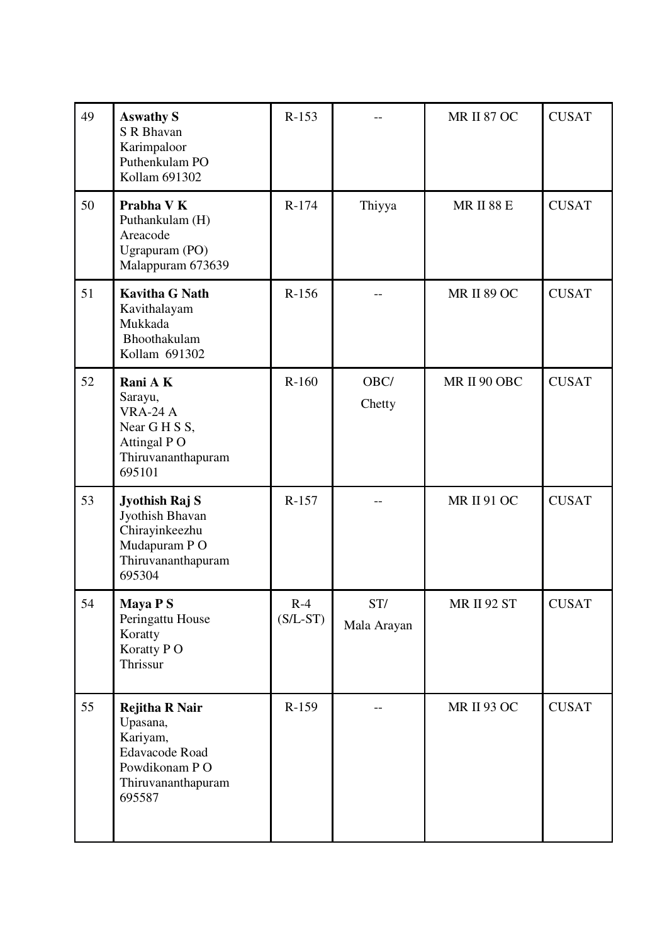| 49 | <b>Aswathy S</b><br>S R Bhavan<br>Karimpaloor<br>Puthenkulam PO<br>Kollam 691302                                        | $R-153$             |                    | <b>MR II 87 OC</b> | <b>CUSAT</b> |
|----|-------------------------------------------------------------------------------------------------------------------------|---------------------|--------------------|--------------------|--------------|
| 50 | Prabha V K<br>Puthankulam (H)<br>Areacode<br>Ugrapuram (PO)<br>Malappuram 673639                                        | R-174               | Thiyya             | <b>MR II 88 E</b>  | <b>CUSAT</b> |
| 51 | <b>Kavitha G Nath</b><br>Kavithalayam<br>Mukkada<br>Bhoothakulam<br>Kollam 691302                                       | $R-156$             |                    | <b>MR II 89 OC</b> | <b>CUSAT</b> |
| 52 | Rani AK<br>Sarayu,<br><b>VRA-24 A</b><br>Near G H S S,<br>Attingal PO<br>Thiruvananthapuram<br>695101                   | $R-160$             | OBC/<br>Chetty     | MR II 90 OBC       | <b>CUSAT</b> |
| 53 | Jyothish Raj S<br>Jyothish Bhavan<br>Chirayinkeezhu<br>Mudapuram PO<br>Thiruvananthapuram<br>695304                     | $R-157$             |                    | <b>MR II 91 OC</b> | <b>CUSAT</b> |
| 54 | Maya P S<br>Peringattu House<br>Koratty<br>Koratty PO<br>Thrissur                                                       | $R-4$<br>$(S/L-ST)$ | ST/<br>Mala Arayan | MR II 92 ST        | <b>CUSAT</b> |
| 55 | <b>Rejitha R Nair</b><br>Upasana,<br>Kariyam,<br><b>Edavacode Road</b><br>Powdikonam PO<br>Thiruvananthapuram<br>695587 | $R-159$             |                    | <b>MR II 93 OC</b> | <b>CUSAT</b> |